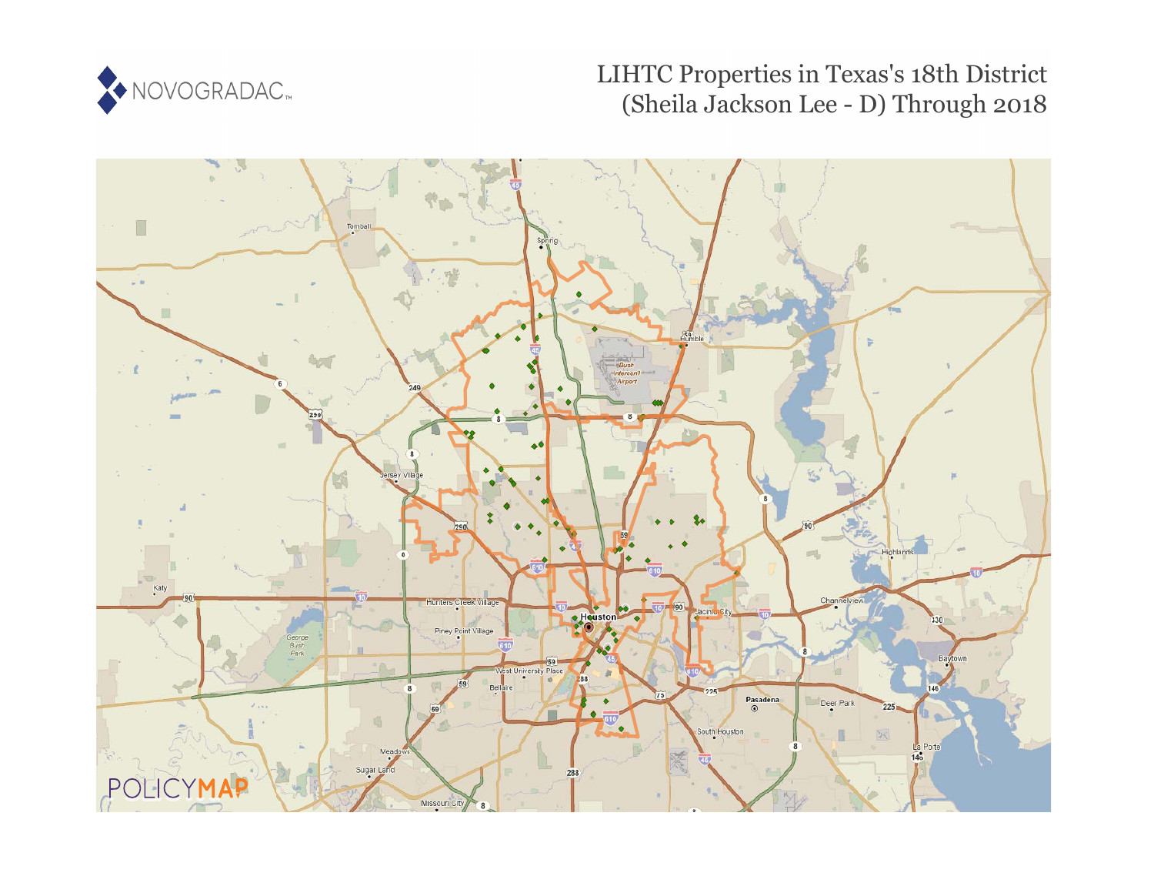

# LIHTC Properties in Texas's 18th District (Sheila Jackson Lee - D) Through 2018

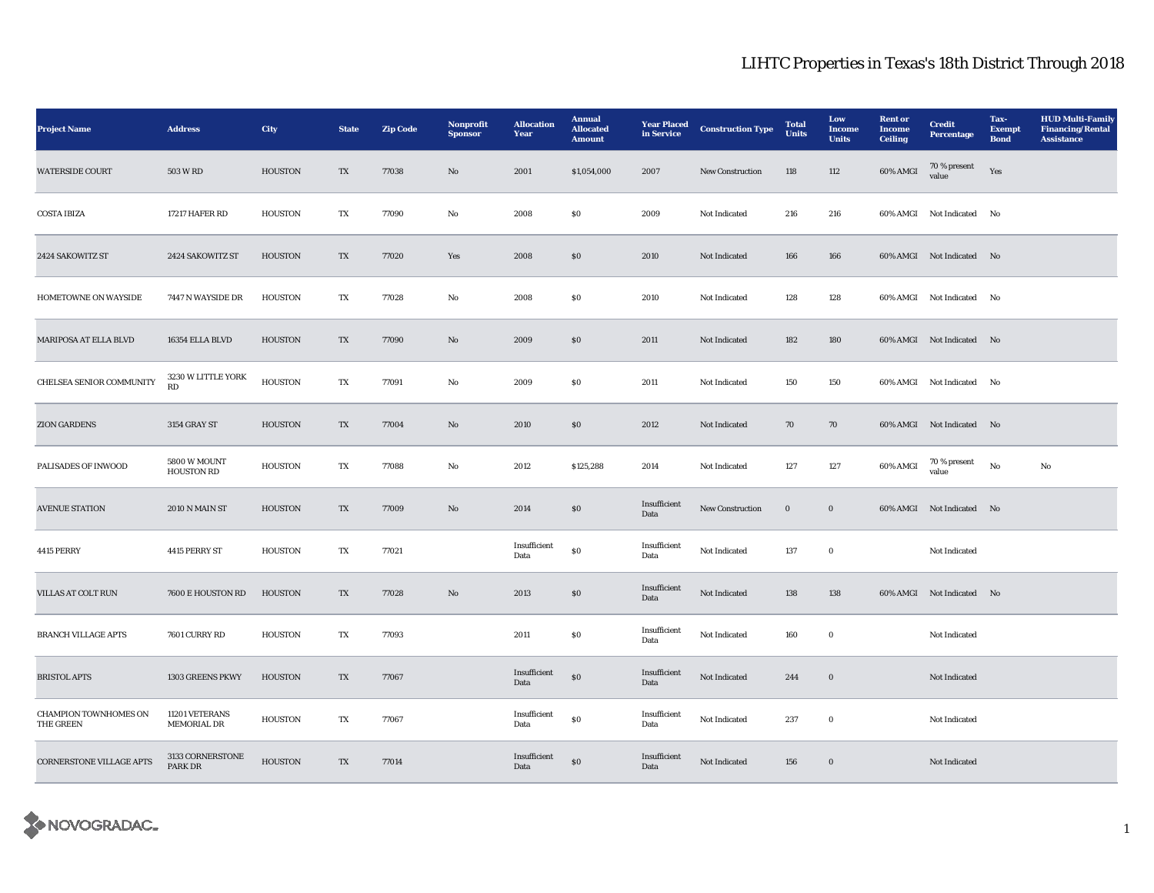| <b>Project Name</b>                       | <b>Address</b>                     | <b>City</b>    | <b>State</b> | <b>Zip Code</b> | Nonprofit<br><b>Sponsor</b> | <b>Allocation</b><br>Year | <b>Annual</b><br><b>Allocated</b><br><b>Amount</b> | <b>Year Placed</b><br>in Service | <b>Construction Type</b> | <b>Total</b><br><b>Units</b> | Low<br>Income<br><b>Units</b> | <b>Rent</b> or<br>Income<br><b>Ceiling</b> | <b>Credit</b><br>Percentage | Tax-<br><b>Exempt</b><br><b>Bond</b> | <b>HUD Multi-Family</b><br><b>Financing/Rental</b><br><b>Assistance</b> |
|-------------------------------------------|------------------------------------|----------------|--------------|-----------------|-----------------------------|---------------------------|----------------------------------------------------|----------------------------------|--------------------------|------------------------------|-------------------------------|--------------------------------------------|-----------------------------|--------------------------------------|-------------------------------------------------------------------------|
| <b>WATERSIDE COURT</b>                    | 503 W RD                           | <b>HOUSTON</b> | TX           | 77038           | No                          | 2001                      | \$1,054,000                                        | 2007                             | New Construction         | 118                          | 112                           | 60% AMGI                                   | 70 % present<br>value       | Yes                                  |                                                                         |
| <b>COSTA IBIZA</b>                        | 17217 HAFER RD                     | <b>HOUSTON</b> | TX           | 77090           | No                          | 2008                      | \$0\$                                              | 2009                             | <b>Not Indicated</b>     | 216                          | 216                           |                                            | 60% AMGI Not Indicated      | No                                   |                                                                         |
| 2424 SAKOWITZ ST                          | 2424 SAKOWITZ ST                   | <b>HOUSTON</b> | TX           | 77020           | Yes                         | 2008                      | \$0                                                | 2010                             | Not Indicated            | 166                          | 166                           |                                            | 60% AMGI Not Indicated No   |                                      |                                                                         |
| HOMETOWNE ON WAYSIDE                      | 7447 N WAYSIDE DR                  | <b>HOUSTON</b> | TX           | 77028           | No                          | 2008                      | \$0\$                                              | 2010                             | Not Indicated            | 128                          | 128                           |                                            | 60% AMGI Not Indicated No   |                                      |                                                                         |
| MARIPOSA AT ELLA BLVD                     | 16354 ELLA BLVD                    | <b>HOUSTON</b> | TX           | 77090           | No                          | 2009                      | $\$0$                                              | 2011                             | Not Indicated            | 182                          | 180                           |                                            | 60% AMGI Not Indicated No   |                                      |                                                                         |
| CHELSEA SENIOR COMMUNITY                  | 3230 W LITTLE YORK<br>RD           | <b>HOUSTON</b> | TX           | 77091           | No                          | 2009                      | $\$0$                                              | 2011                             | Not Indicated            | 150                          | 150                           |                                            | 60% AMGI Not Indicated No   |                                      |                                                                         |
| <b>ZION GARDENS</b>                       | 3154 GRAY ST                       | <b>HOUSTON</b> | TX           | 77004           | No                          | 2010                      | \$0\$                                              | 2012                             | Not Indicated            | 70                           | 70                            |                                            | 60% AMGI Not Indicated No   |                                      |                                                                         |
| PALISADES OF INWOOD                       | 5800 W MOUNT<br><b>HOUSTON RD</b>  | <b>HOUSTON</b> | TX           | 77088           | No                          | 2012                      | \$125,288                                          | 2014                             | Not Indicated            | 127                          | 127                           | 60% AMGI                                   | 70 % present<br>value       | No                                   | No                                                                      |
| <b>AVENUE STATION</b>                     | 2010 N MAIN ST                     | <b>HOUSTON</b> | TX           | 77009           | No                          | 2014                      | $\boldsymbol{\mathsf{S}}\boldsymbol{\mathsf{0}}$   | Insufficient<br>Data             | <b>New Construction</b>  | $\bf{0}$                     | $\bf{0}$                      |                                            | 60% AMGI Not Indicated No   |                                      |                                                                         |
| <b>4415 PERRY</b>                         | 4415 PERRY ST                      | <b>HOUSTON</b> | TX           | 77021           |                             | Insufficient<br>Data      | ${\bf S0}$                                         | Insufficient<br>Data             | Not Indicated            | 137                          | $\mathbf 0$                   |                                            | Not Indicated               |                                      |                                                                         |
| VILLAS AT COLT RUN                        | 7600 E HOUSTON RD                  | <b>HOUSTON</b> | TX           | 77028           | No                          | 2013                      | $\$0$                                              | Insufficient<br>Data             | Not Indicated            | 138                          | 138                           |                                            | 60% AMGI Not Indicated No   |                                      |                                                                         |
| <b>BRANCH VILLAGE APTS</b>                | 7601 CURRY RD                      | <b>HOUSTON</b> | TX           | 77093           |                             | 2011                      | \$0\$                                              | Insufficient<br>Data             | Not Indicated            | 160                          | $\bf{0}$                      |                                            | Not Indicated               |                                      |                                                                         |
| <b>BRISTOL APTS</b>                       | 1303 GREENS PKWY                   | <b>HOUSTON</b> | TX           | 77067           |                             | Insufficient<br>Data      | \$0                                                | Insufficient<br>Data             | Not Indicated            | 244                          | $\bf{0}$                      |                                            | Not Indicated               |                                      |                                                                         |
| CHAMPION TOWNHOMES ON<br><b>THE GREEN</b> | 11201 VETERANS<br>MEMORIAL DR      | <b>HOUSTON</b> | TX           | 77067           |                             | Insufficient<br>Data      | ${\bf S0}$                                         | Insufficient<br>Data             | Not Indicated            | 237                          | $\bf{0}$                      |                                            | Not Indicated               |                                      |                                                                         |
| <b>CORNERSTONE VILLAGE APTS</b>           | 3133 CORNERSTONE<br><b>PARK DR</b> | <b>HOUSTON</b> | TX           | 77014           |                             | Insufficient<br>Data      | $\$0$                                              | Insufficient<br>Data             | Not Indicated            | 156                          | $\boldsymbol{0}$              |                                            | Not Indicated               |                                      |                                                                         |

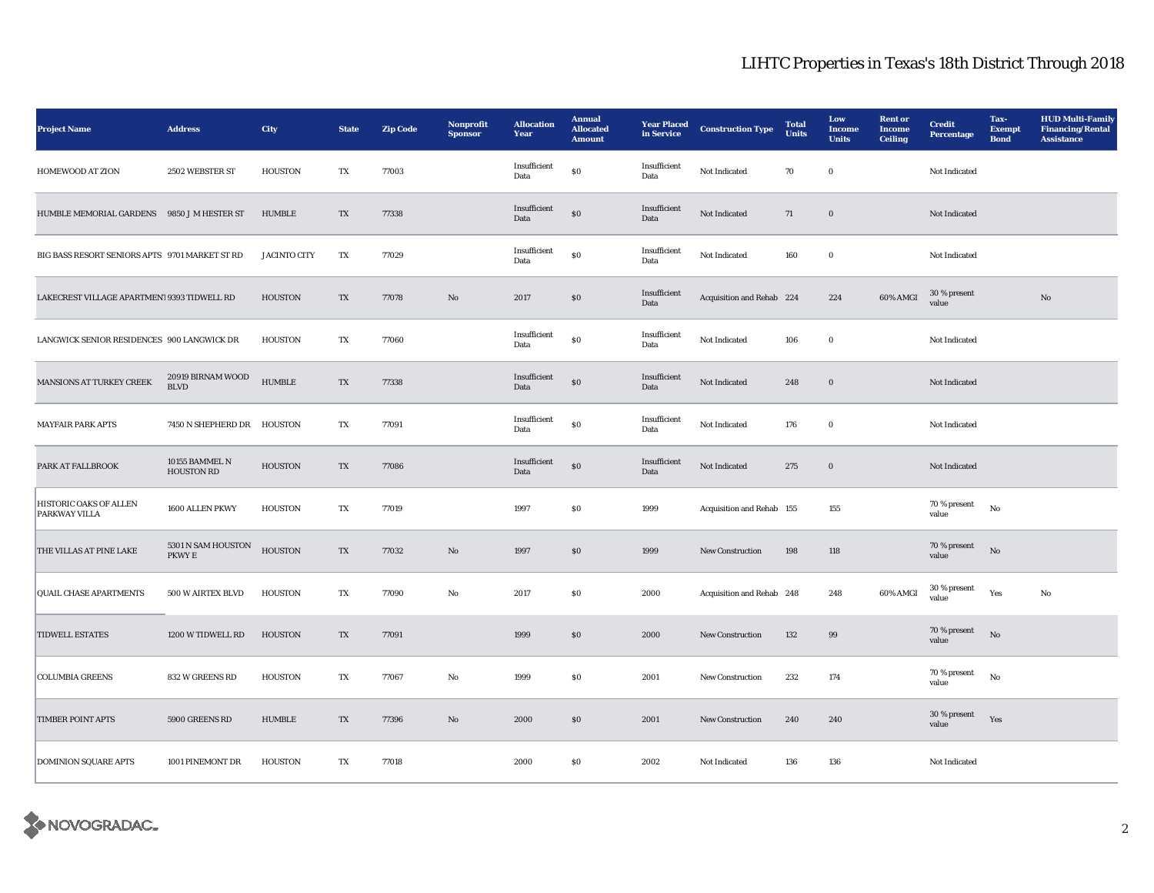| <b>Project Name</b>                            | <b>Address</b>                      | City                | <b>State</b> | <b>Zip Code</b> | Nonprofit<br><b>Sponsor</b> | <b>Allocation</b><br>Year | <b>Annual</b><br><b>Allocated</b><br><b>Amount</b> | <b>Year Placed</b><br>in Service | <b>Construction Type</b>  | <b>Total</b><br><b>Units</b> | Low<br><b>Income</b><br><b>Units</b> | <b>Rent</b> or<br><b>Income</b><br>Ceiling | <b>Credit</b><br>Percentage | Tax-<br><b>Exempt</b><br><b>Bond</b> | <b>HUD Multi-Family</b><br><b>Financing/Rental</b><br><b>Assistance</b> |
|------------------------------------------------|-------------------------------------|---------------------|--------------|-----------------|-----------------------------|---------------------------|----------------------------------------------------|----------------------------------|---------------------------|------------------------------|--------------------------------------|--------------------------------------------|-----------------------------|--------------------------------------|-------------------------------------------------------------------------|
| HOMEWOOD AT ZION                               | 2502 WEBSTER ST                     | <b>HOUSTON</b>      | TX           | 77003           |                             | Insufficient<br>Data      | $\$0$                                              | Insufficient<br>Data             | Not Indicated             | 70                           | $\bf{0}$                             |                                            | Not Indicated               |                                      |                                                                         |
| HUMBLE MEMORIAL GARDENS 9850 J M HESTER ST     |                                     | <b>HUMBLE</b>       | TX           | 77338           |                             | Insufficient<br>Data      | $\$0$                                              | Insufficient<br>Data             | Not Indicated             | 71                           | $\boldsymbol{0}$                     |                                            | Not Indicated               |                                      |                                                                         |
| BIG BASS RESORT SENIORS APTS 9701 MARKET ST RD |                                     | <b>JACINTO CITY</b> | TX           | 77029           |                             | Insufficient<br>Data      | SO <sub>2</sub>                                    | Insufficient<br>Data             | Not Indicated             | 160                          | $\bf{0}$                             |                                            | Not Indicated               |                                      |                                                                         |
| LAKECREST VILLAGE APARTMENT 9393 TIDWELL RD    |                                     | <b>HOUSTON</b>      | TX           | 77078           | $\mathbf{N}\mathbf{o}$      | 2017                      | $\$0$                                              | Insufficient<br>Data             | Acquisition and Rehab 224 |                              | 224                                  | 60% AMGI                                   | 30 % present<br>value       |                                      | $\mathbf{N}\mathbf{o}$                                                  |
| LANGWICK SENIOR RESIDENCES 900 LANGWICK DR     |                                     | <b>HOUSTON</b>      | TX           | 77060           |                             | Insufficient<br>Data      | $\$0$                                              | Insufficient<br>Data             | Not Indicated             | 106                          | $\mathbf 0$                          |                                            | Not Indicated               |                                      |                                                                         |
| MANSIONS AT TURKEY CREEK                       | 20919 BIRNAM WOOD<br><b>BLVD</b>    | <b>HUMBLE</b>       | TX           | 77338           |                             | Insufficient<br>Data      | $\$0$                                              | Insufficient<br>Data             | Not Indicated             | 248                          | $\boldsymbol{0}$                     |                                            | Not Indicated               |                                      |                                                                         |
| <b>MAYFAIR PARK APTS</b>                       | 7450 N SHEPHERD DR HOUSTON          |                     | TX           | 77091           |                             | Insufficient<br>Data      | $\$0$                                              | Insufficient<br>Data             | Not Indicated             | 176                          | $\bf{0}$                             |                                            | Not Indicated               |                                      |                                                                         |
| PARK AT FALLBROOK                              | 10155 BAMMEL N<br><b>HOUSTON RD</b> | <b>HOUSTON</b>      | TX           | 77086           |                             | Insufficient<br>Data      | ${\bf S0}$                                         | Insufficient<br>Data             | Not Indicated             | 275                          | $\boldsymbol{0}$                     |                                            | Not Indicated               |                                      |                                                                         |
| HISTORIC OAKS OF ALLEN<br><b>PARKWAY VILLA</b> | 1600 ALLEN PKWY                     | <b>HOUSTON</b>      | TX           | 77019           |                             | 1997                      | \$0\$                                              | 1999                             | Acquisition and Rehab 155 |                              | 155                                  |                                            | 70 % present<br>value       | No                                   |                                                                         |
| THE VILLAS AT PINE LAKE                        | 5301 N SAM HOUSTON<br>PKWY E        | <b>HOUSTON</b>      | TX           | 77032           | No                          | 1997                      | \$0\$                                              | 1999                             | <b>New Construction</b>   | 198                          | 118                                  |                                            | 70 % present<br>value       | No                                   |                                                                         |
| <b>QUAIL CHASE APARTMENTS</b>                  | 500 W AIRTEX BLVD                   | <b>HOUSTON</b>      | TX           | 77090           | No                          | 2017                      | \$0\$                                              | 2000                             | Acquisition and Rehab 248 |                              | 248                                  | 60% AMGI                                   | 30 % present<br>value       | Yes                                  | No                                                                      |
| <b>TIDWELL ESTATES</b>                         | 1200 W TIDWELL RD                   | <b>HOUSTON</b>      | TX           | 77091           |                             | 1999                      | \$0\$                                              | 2000                             | <b>New Construction</b>   | 132                          | 99                                   |                                            | 70 % present<br>value       | $\rm \bf No$                         |                                                                         |
| <b>COLUMBIA GREENS</b>                         | 832 W GREENS RD                     | <b>HOUSTON</b>      | TX           | 77067           | $_{\rm No}$                 | 1999                      | $\$0$                                              | 2001                             | New Construction          | 232                          | 174                                  |                                            | 70 % present<br>value       | $_{\rm No}$                          |                                                                         |
| <b>TIMBER POINT APTS</b>                       | 5900 GREENS RD                      | <b>HUMBLE</b>       | TX           | 77396           | No                          | 2000                      | \$0\$                                              | 2001                             | New Construction          | 240                          | 240                                  |                                            | 30 % present<br>value       | Yes                                  |                                                                         |
| <b>DOMINION SQUARE APTS</b>                    | 1001 PINEMONT DR                    | <b>HOUSTON</b>      | TX           | 77018           |                             | 2000                      | S <sub>0</sub>                                     | 2002                             | Not Indicated             | 136                          | 136                                  |                                            | Not Indicated               |                                      |                                                                         |

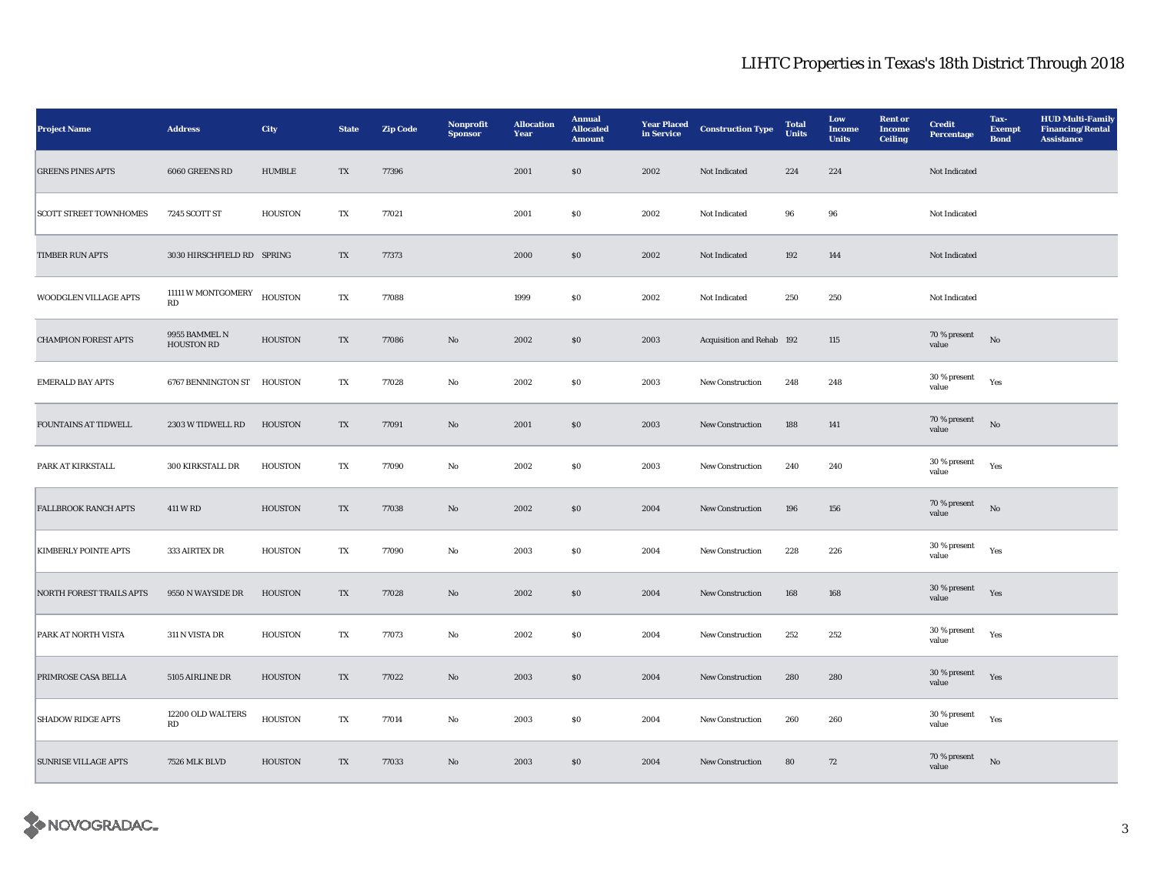| <b>Project Name</b>             | <b>Address</b>                     | City           | <b>State</b> | <b>Zip Code</b> | Nonprofit<br><b>Sponsor</b> | <b>Allocation</b><br>Year | <b>Annual</b><br><b>Allocated</b><br><b>Amount</b> | <b>Year Placed</b><br>in Service | <b>Construction Type</b>  | <b>Total</b><br>Units | Low<br>Income<br><b>Units</b> | <b>Rent or</b><br><b>Income</b><br><b>Ceiling</b> | <b>Credit</b><br><b>Percentage</b> | Tax-<br><b>Exempt</b><br><b>Bond</b> | <b>HUD Multi-Family</b><br><b>Financing/Rental</b><br><b>Assistance</b> |
|---------------------------------|------------------------------------|----------------|--------------|-----------------|-----------------------------|---------------------------|----------------------------------------------------|----------------------------------|---------------------------|-----------------------|-------------------------------|---------------------------------------------------|------------------------------------|--------------------------------------|-------------------------------------------------------------------------|
| <b>GREENS PINES APTS</b>        | 6060 GREENS RD                     | <b>HUMBLE</b>  | TX           | 77396           |                             | 2001                      | $\$0$                                              | 2002                             | Not Indicated             | 224                   | 224                           |                                                   | Not Indicated                      |                                      |                                                                         |
| <b>SCOTT STREET TOWNHOMES</b>   | 7245 SCOTT ST                      | <b>HOUSTON</b> | TX           | 77021           |                             | 2001                      | <b>SO</b>                                          | 2002                             | Not Indicated             | 96                    | 96                            |                                                   | Not Indicated                      |                                      |                                                                         |
| <b>TIMBER RUN APTS</b>          | 3030 HIRSCHFIELD RD SPRING         |                | TX           | 77373           |                             | 2000                      | \$0                                                | 2002                             | Not Indicated             | 192                   | 144                           |                                                   | Not Indicated                      |                                      |                                                                         |
| WOODGLEN VILLAGE APTS           | 11111 W MONTGOMERY<br>RD           | <b>HOUSTON</b> | TX           | 77088           |                             | 1999                      | ${\bf S0}$                                         | 2002                             | Not Indicated             | 250                   | 250                           |                                                   | Not Indicated                      |                                      |                                                                         |
| <b>CHAMPION FOREST APTS</b>     | 9955 BAMMEL N<br><b>HOUSTON RD</b> | <b>HOUSTON</b> | TX           | 77086           | $\rm No$                    | 2002                      | $\$0$                                              | 2003                             | Acquisition and Rehab 192 |                       | 115                           |                                                   | 70 % present<br>value              | $_{\rm No}$                          |                                                                         |
| <b>EMERALD BAY APTS</b>         | 6767 BENNINGTON ST HOUSTON         |                | TX           | 77028           | No                          | 2002                      | $\$0$                                              | 2003                             | New Construction          | 248                   | 248                           |                                                   | 30 % present<br>value              | Yes                                  |                                                                         |
| <b>FOUNTAINS AT TIDWELL</b>     | 2303 W TIDWELL RD                  | <b>HOUSTON</b> | TX           | 77091           | $\mathbf{N}\mathbf{o}$      | 2001                      | \$0                                                | 2003                             | <b>New Construction</b>   | 188                   | 141                           |                                                   | 70 % present<br>value              | No                                   |                                                                         |
| PARK AT KIRKSTALL               | 300 KIRKSTALL DR                   | <b>HOUSTON</b> | TX           | 77090           | No                          | 2002                      | <b>SO</b>                                          | 2003                             | <b>New Construction</b>   | 240                   | 240                           |                                                   | 30 % present<br>value              | Yes                                  |                                                                         |
| <b>FALLBROOK RANCH APTS</b>     | 411 W RD                           | <b>HOUSTON</b> | TX           | 77038           | No                          | 2002                      | \$0                                                | 2004                             | <b>New Construction</b>   | 196                   | 156                           |                                                   | 70 % present<br>value              | No                                   |                                                                         |
| <b>KIMBERLY POINTE APTS</b>     | 333 AIRTEX DR                      | <b>HOUSTON</b> | TX           | 77090           | No                          | 2003                      | $\$0$                                              | 2004                             | New Construction          | 228                   | 226                           |                                                   | 30 % present<br>value              | Yes                                  |                                                                         |
| <b>NORTH FOREST TRAILS APTS</b> | 9550 N WAYSIDE DR                  | <b>HOUSTON</b> | TX           | 77028           | $\mathbf{N}\mathbf{o}$      | 2002                      | $\$0$                                              | 2004                             | New Construction          | 168                   | 168                           |                                                   | 30 % present<br>value              | Yes                                  |                                                                         |
| PARK AT NORTH VISTA             | 311 N VISTA DR                     | <b>HOUSTON</b> | TX           | 77073           | No                          | 2002                      | $\$0$                                              | 2004                             | <b>New Construction</b>   | 252                   | 252                           |                                                   | 30 % present<br>value              | Yes                                  |                                                                         |
| PRIMROSE CASA BELLA             | 5105 AIRLINE DR                    | <b>HOUSTON</b> | TX           | 77022           | No                          | 2003                      | \$0                                                | 2004                             | <b>New Construction</b>   | 280                   | 280                           |                                                   | 30 % present<br>value              | Yes                                  |                                                                         |
| <b>SHADOW RIDGE APTS</b>        | 12200 OLD WALTERS<br>RD            | <b>HOUSTON</b> | TX           | 77014           | No                          | 2003                      | <b>SO</b>                                          | 2004                             | <b>New Construction</b>   | 260                   | 260                           |                                                   | 30 % present<br>value              | Yes                                  |                                                                         |
| <b>SUNRISE VILLAGE APTS</b>     | 7526 MLK BLVD                      | HOUSTON        | TX           | 77033           | No                          | 2003                      | \$0                                                | 2004                             | <b>New Construction</b>   | 80                    | 72                            |                                                   | 70 % present<br>value              | $\mathbf{N}\mathbf{o}$               |                                                                         |

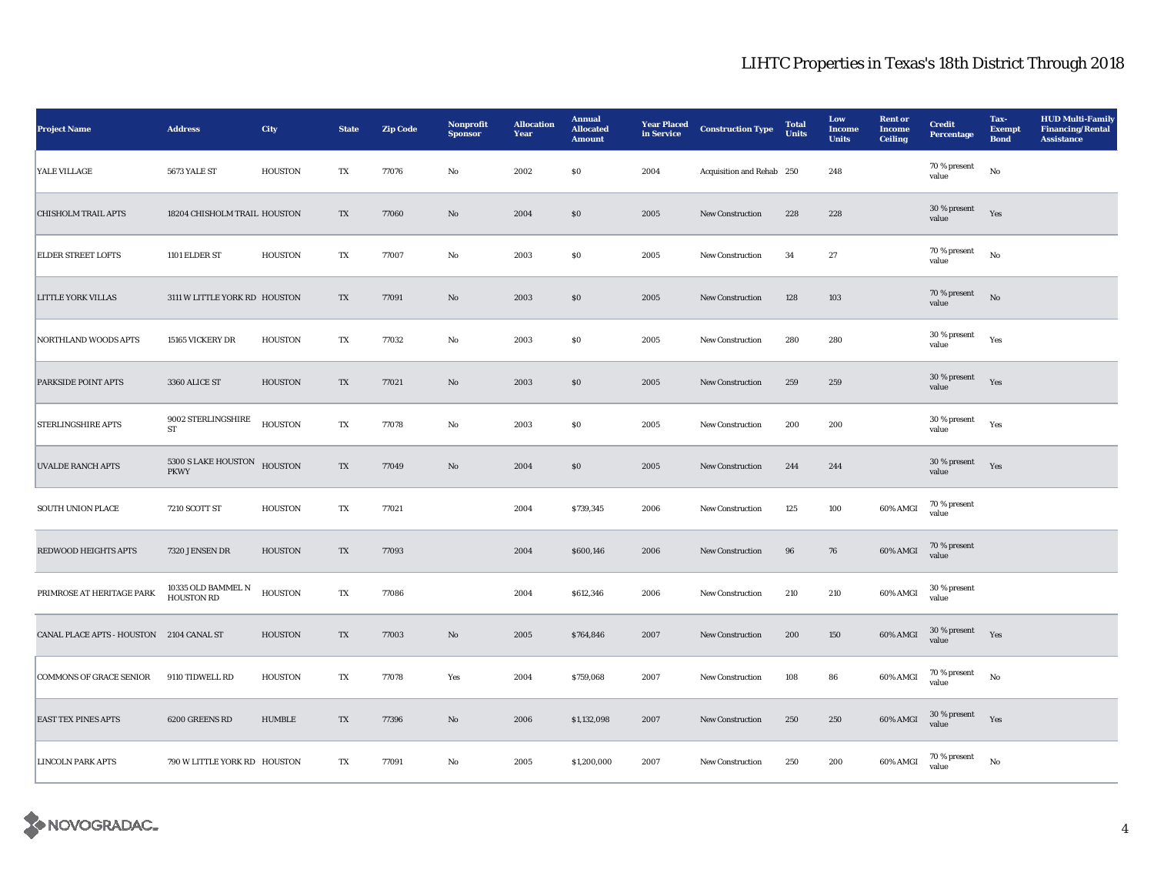| <b>Project Name</b>                      | <b>Address</b>                          | <b>City</b>    | <b>State</b>            | <b>Zip Code</b> | Nonprofit<br><b>Sponsor</b> | <b>Allocation</b><br>Year | <b>Annual</b><br><b>Allocated</b><br><b>Amount</b> | <b>Year Placed</b><br>in Service | <b>Construction Type</b>  | <b>Total</b><br><b>Units</b> | Low<br>Income<br><b>Units</b> | <b>Rent or</b><br><b>Income</b><br><b>Ceiling</b> | <b>Credit</b><br><b>Percentage</b> | Tax-<br><b>Exempt</b><br><b>Bond</b> | <b>HUD Multi-Family</b><br><b>Financing/Rental</b><br><b>Assistance</b> |
|------------------------------------------|-----------------------------------------|----------------|-------------------------|-----------------|-----------------------------|---------------------------|----------------------------------------------------|----------------------------------|---------------------------|------------------------------|-------------------------------|---------------------------------------------------|------------------------------------|--------------------------------------|-------------------------------------------------------------------------|
| YALE VILLAGE                             | 5673 YALE ST                            | <b>HOUSTON</b> | TX                      | 77076           | No                          | 2002                      | \$0                                                | 2004                             | Acquisition and Rehab 250 |                              | 248                           |                                                   | $70\,\%$ present<br>value          | $_{\rm No}$                          |                                                                         |
| <b>CHISHOLM TRAIL APTS</b>               | 18204 CHISHOLM TRAIL HOUSTON            |                | TX                      | 77060           | $\mathbf{N}\mathbf{o}$      | 2004                      | \$0                                                | 2005                             | <b>New Construction</b>   | 228                          | 228                           |                                                   | 30 % present<br>value              | Yes                                  |                                                                         |
| <b>ELDER STREET LOFTS</b>                | 1101 ELDER ST                           | <b>HOUSTON</b> | TX                      | 77007           | No                          | 2003                      | $\$0$                                              | 2005                             | New Construction          | 34                           | $\bf 27$                      |                                                   | $70\,\%$ present<br>value          | $_{\rm No}$                          |                                                                         |
| <b>LITTLE YORK VILLAS</b>                | 3111 W LITTLE YORK RD HOUSTON           |                | TX                      | 77091           | $\mathbf{N}\mathbf{o}$      | 2003                      | $\$0$                                              | 2005                             | New Construction          | 128                          | 103                           |                                                   | 70 % present<br>value              | $_{\rm No}$                          |                                                                         |
| <b>NORTHLAND WOODS APTS</b>              | 15165 VICKERY DR                        | <b>HOUSTON</b> | TX                      | 77032           | $\rm No$                    | 2003                      | SO.                                                | 2005                             | New Construction          | 280                          | 280                           |                                                   | 30 % present<br>value              | Yes                                  |                                                                         |
| PARKSIDE POINT APTS                      | 3360 ALICE ST                           | <b>HOUSTON</b> | TX                      | 77021           | No                          | 2003                      | \$0                                                | 2005                             | New Construction          | 259                          | 259                           |                                                   | 30 % present<br>value              | Yes                                  |                                                                         |
| <b>STERLINGSHIRE APTS</b>                | 9002 STERLINGSHIRE<br>${\rm ST}$        | <b>HOUSTON</b> | $\mathbf{T} \mathbf{X}$ | 77078           | No                          | 2003                      | $\$0$                                              | 2005                             | New Construction          | 200                          | 200                           |                                                   | 30 % present<br>value              | Yes                                  |                                                                         |
| <b>UVALDE RANCH APTS</b>                 | 5300 S LAKE HOUSTON<br><b>PKWY</b>      | <b>HOUSTON</b> | $\mathbf{T}\mathbf{X}$  | 77049           | $\mathbf{N}\mathbf{o}$      | 2004                      | $\$0$                                              | 2005                             | New Construction          | 244                          | 244                           |                                                   | 30 % present<br>value              | Yes                                  |                                                                         |
| <b>SOUTH UNION PLACE</b>                 | 7210 SCOTT ST                           | <b>HOUSTON</b> | $\mathbf{T}\mathbf{X}$  | 77021           |                             | 2004                      | \$739,345                                          | 2006                             | New Construction          | 125                          | 100                           | 60% AMGI                                          | 70 % present<br>value              |                                      |                                                                         |
| REDWOOD HEIGHTS APTS                     | 7320 JENSEN DR                          | <b>HOUSTON</b> | TX                      | 77093           |                             | 2004                      | \$600,146                                          | 2006                             | New Construction          | $\bf{96}$                    | 76                            | 60% AMGI                                          | 70 % present<br>value              |                                      |                                                                         |
| PRIMROSE AT HERITAGE PARK                | 10335 OLD BAMMEL N<br><b>HOUSTON RD</b> | HOUSTON        | TX                      | 77086           |                             | 2004                      | \$612,346                                          | 2006                             | New Construction          | 210                          | 210                           | 60% AMGI                                          | 30 % present<br>value              |                                      |                                                                         |
| CANAL PLACE APTS - HOUSTON 2104 CANAL ST |                                         | <b>HOUSTON</b> | TX                      | 77003           | $\mathbf{N}\mathbf{o}$      | 2005                      | \$764,846                                          | 2007                             | <b>New Construction</b>   | 200                          | 150                           | 60% AMGI                                          | 30 % present<br>value              | Yes                                  |                                                                         |
| <b>COMMONS OF GRACE SENIOR</b>           | 9110 TIDWELL RD                         | <b>HOUSTON</b> | TX                      | 77078           | Yes                         | 2004                      | \$759,068                                          | 2007                             | <b>New Construction</b>   | 108                          | 86                            | 60% AMGI                                          | 70 % present<br>value              | No                                   |                                                                         |
| <b>EAST TEX PINES APTS</b>               | 6200 GREENS RD                          | <b>HUMBLE</b>  | TX                      | 77396           | $\rm No$                    | 2006                      | \$1,132,098                                        | 2007                             | New Construction          | 250                          | 250                           | $60\%$ AMGI                                       | $30$ % present<br>value            | Yes                                  |                                                                         |
| <b>LINCOLN PARK APTS</b>                 | 790 W LITTLE YORK RD HOUSTON            |                | TX                      | 77091           | No                          | 2005                      | \$1,200,000                                        | 2007                             | <b>New Construction</b>   | 250                          | 200                           | 60% AMGI                                          | 70 % present<br>value              | $_{\rm No}$                          |                                                                         |

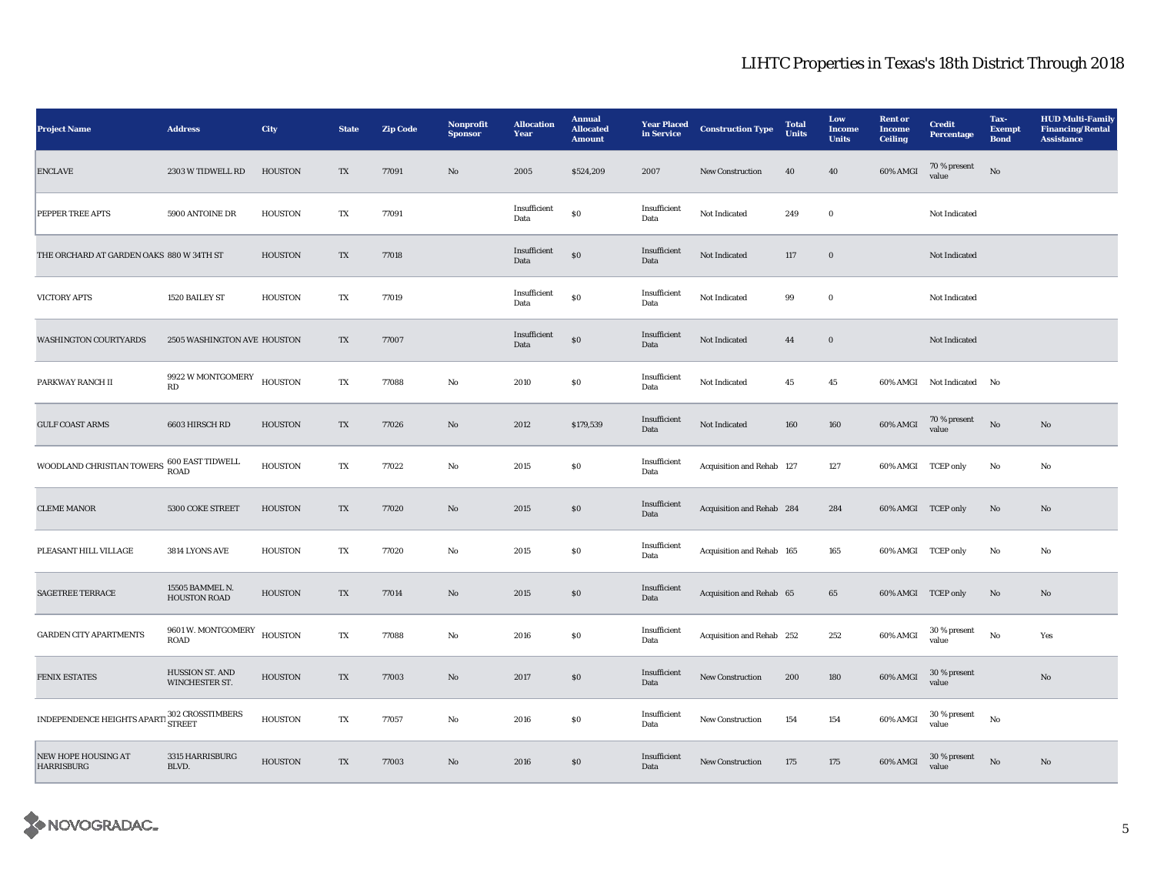| <b>Project Name</b>                                                  | <b>Address</b>                         | City           | <b>State</b> | <b>Zip Code</b> | Nonprofit<br><b>Sponsor</b> | <b>Allocation</b><br>Year | <b>Annual</b><br><b>Allocated</b><br><b>Amount</b> | <b>Year Placed</b><br>in Service | <b>Construction Type</b>  | <b>Total</b><br><b>Units</b> | Low<br>Income<br><b>Units</b> | <b>Rent</b> or<br>Income<br><b>Ceiling</b> | <b>Credit</b><br><b>Percentage</b> | Tax-<br><b>Exempt</b><br><b>Bond</b> | <b>HUD Multi-Family</b><br><b>Financing/Rental</b><br><b>Assistance</b> |
|----------------------------------------------------------------------|----------------------------------------|----------------|--------------|-----------------|-----------------------------|---------------------------|----------------------------------------------------|----------------------------------|---------------------------|------------------------------|-------------------------------|--------------------------------------------|------------------------------------|--------------------------------------|-------------------------------------------------------------------------|
| <b>ENCLAVE</b>                                                       | 2303 W TIDWELL RD                      | <b>HOUSTON</b> | TX           | 77091           | No                          | 2005                      | \$524,209                                          | 2007                             | New Construction          | 40                           | 40                            | 60% AMGI                                   | $70\,\%$ present<br>value          | No                                   |                                                                         |
| PEPPER TREE APTS                                                     | 5900 ANTOINE DR                        | <b>HOUSTON</b> | TX           | 77091           |                             | Insufficient<br>Data      | $\$0$                                              | Insufficient<br>Data             | Not Indicated             | 249                          | $\bf{0}$                      |                                            | Not Indicated                      |                                      |                                                                         |
| THE ORCHARD AT GARDEN OAKS 880 W 34TH ST                             |                                        | <b>HOUSTON</b> | TX           | 77018           |                             | Insufficient<br>Data      | \$0                                                | Insufficient<br>Data             | Not Indicated             | 117                          | $\bf{0}$                      |                                            | Not Indicated                      |                                      |                                                                         |
| <b>VICTORY APTS</b>                                                  | 1520 BAILEY ST                         | <b>HOUSTON</b> | TX           | 77019           |                             | Insufficient<br>Data      | SO <sub>2</sub>                                    | Insufficient<br>Data             | Not Indicated             | 99                           | $\bf{0}$                      |                                            | Not Indicated                      |                                      |                                                                         |
| <b>WASHINGTON COURTYARDS</b>                                         | 2505 WASHINGTON AVE HOUSTON            |                | TX           | 77007           |                             | Insufficient<br>Data      | $\$0$                                              | Insufficient<br>Data             | Not Indicated             | 44                           | $\boldsymbol{0}$              |                                            | Not Indicated                      |                                      |                                                                         |
| PARKWAY RANCH II                                                     | 9922 W MONTGOMERY<br>RD                | <b>HOUSTON</b> | TX           | 77088           | No                          | 2010                      | $\$0$                                              | Insufficient<br>Data             | Not Indicated             | 45                           | 45                            |                                            | 60% AMGI Not Indicated             | No                                   |                                                                         |
| <b>GULF COAST ARMS</b>                                               | 6603 HIRSCH RD                         | <b>HOUSTON</b> | TX           | 77026           | $\mathbf{N}\mathbf{o}$      | 2012                      | \$179,539                                          | Insufficient<br>Data             | Not Indicated             | 160                          | 160                           | 60% AMGI                                   | 70 % present<br>value              | $\mathbf{N}\mathbf{o}$               | $\mathbf{No}$                                                           |
| WOODLAND CHRISTIAN TOWERS                                            | <b>600 EAST TIDWELL</b><br><b>ROAD</b> | <b>HOUSTON</b> | TX           | 77022           | $\mathbf{No}$               | 2015                      | $\$0$                                              | Insufficient<br>Data             | Acquisition and Rehab 127 |                              | 127                           | 60% AMGI TCEP only                         |                                    | No                                   | No                                                                      |
| <b>CLEME MANOR</b>                                                   | 5300 COKE STREET                       | <b>HOUSTON</b> | TX           | 77020           | $\mathbf{N}\mathbf{o}$      | 2015                      | $\$0$                                              | Insufficient<br>Data             | Acquisition and Rehab 284 |                              | 284                           | 60% AMGI TCEP only                         |                                    | No                                   | No                                                                      |
| PLEASANT HILL VILLAGE                                                | 3814 LYONS AVE                         | <b>HOUSTON</b> | TX           | 77020           | No                          | 2015                      | $\$0$                                              | Insufficient<br>Data             | Acquisition and Rehab 165 |                              | 165                           | 60% AMGI TCEP only                         |                                    | No                                   | No                                                                      |
| <b>SAGETREE TERRACE</b>                                              | 15505 BAMMEL N.<br><b>HOUSTON ROAD</b> | <b>HOUSTON</b> | TX           | 77014           | No                          | 2015                      | $\$0$                                              | Insufficient<br>Data             | Acquisition and Rehab 65  |                              | 65                            | 60% AMGI TCEP only                         |                                    | No                                   | No                                                                      |
| <b>GARDEN CITY APARTMENTS</b>                                        | 9601 W. MONTGOMERY<br>ROAD             | <b>HOUSTON</b> | TX           | 77088           | No                          | 2016                      | $\$0$                                              | Insufficient<br>Data             | Acquisition and Rehab 252 |                              | 252                           | 60% AMGI                                   | 30 % present<br>value              | $_{\rm No}$                          | Yes                                                                     |
| <b>FENIX ESTATES</b>                                                 | HUSSION ST. AND<br>WINCHESTER ST.      | <b>HOUSTON</b> | TX           | 77003           | $\mathbf{N}\mathbf{o}$      | 2017                      | $\$0$                                              | Insufficient<br>Data             | New Construction          | 200                          | 180                           | 60% AMGI                                   | 30 % present<br>value              |                                      | $\rm\thinspace No$                                                      |
| INDEPENDENCE HEIGHTS APART! $\frac{\rm 302~CROSSTIMBERS}{\rm STREF}$ |                                        | <b>HOUSTON</b> | TX           | 77057           | $\mathbf{N}\mathbf{o}$      | 2016                      | $\$0$                                              | Insufficient<br>Data             | New Construction          | 154                          | 154                           | 60% AMGI                                   | 30 % present<br>value              | $_{\rm No}$                          |                                                                         |
| <b>NEW HOPE HOUSING AT</b><br><b>HARRISBURG</b>                      | 3315 HARRISBURG<br>BLVD.               | <b>HOUSTON</b> | TX           | 77003           | $\mathbf{N}\mathbf{o}$      | 2016                      | $\$0$                                              | Insufficient<br>Data             | <b>New Construction</b>   | 175                          | 175                           | 60% AMGI                                   | 30 % present<br>value              | No                                   | No                                                                      |

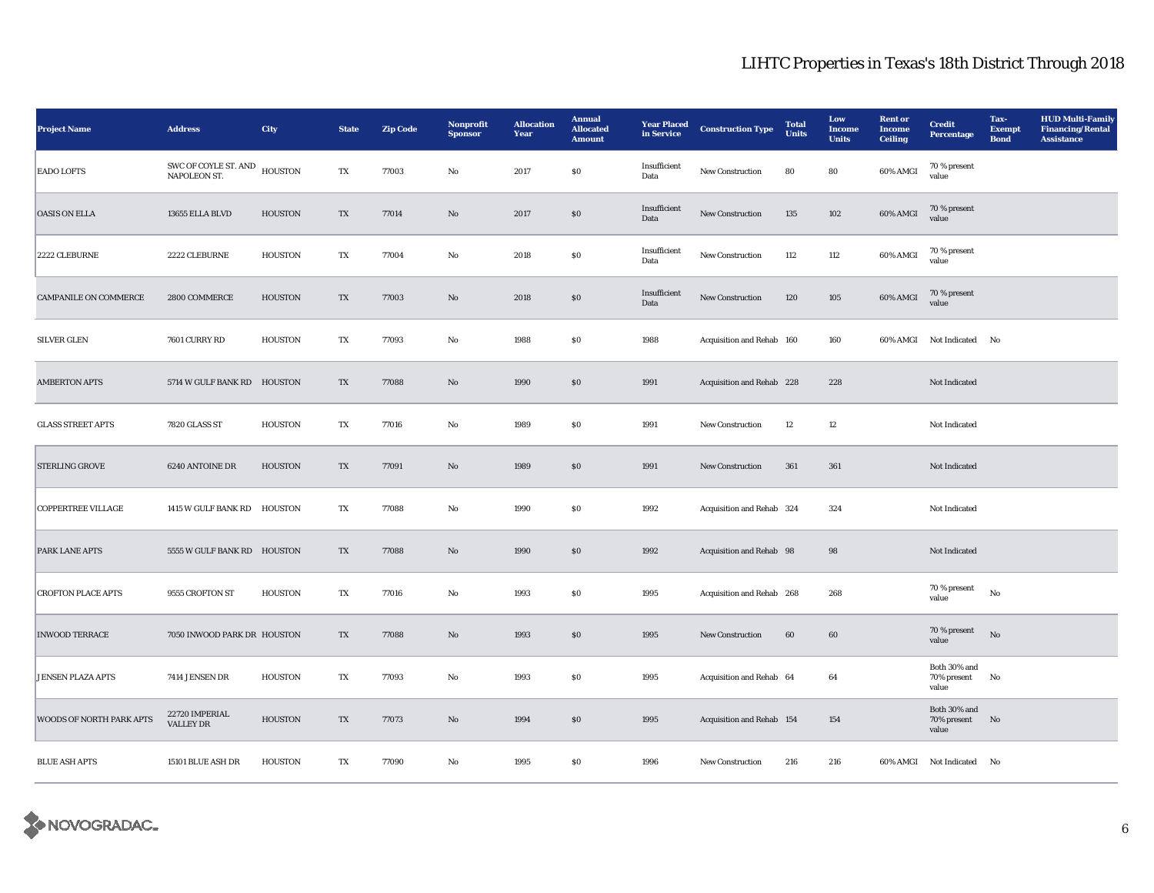| <b>Project Name</b>          | <b>Address</b>                       | City           | <b>State</b>           | <b>Zip Code</b> | Nonprofit<br><b>Sponsor</b> | <b>Allocation</b><br>Year | <b>Annual</b><br><b>Allocated</b><br><b>Amount</b> | <b>Year Placed</b><br>in Service | <b>Construction Type</b>  | <b>Total</b><br><b>Units</b> | Low<br><b>Income</b><br><b>Units</b> | <b>Rent</b> or<br><b>Income</b><br><b>Ceiling</b> | <b>Credit</b><br>Percentage          | Tax-<br><b>Exempt</b><br><b>Bond</b> | <b>HUD Multi-Family</b><br><b>Financing/Rental</b><br><b>Assistance</b> |
|------------------------------|--------------------------------------|----------------|------------------------|-----------------|-----------------------------|---------------------------|----------------------------------------------------|----------------------------------|---------------------------|------------------------------|--------------------------------------|---------------------------------------------------|--------------------------------------|--------------------------------------|-------------------------------------------------------------------------|
| <b>EADO LOFTS</b>            | SWC OF COYLE ST. AND<br>NAPOLEON ST. | HOUSTON        | TX                     | 77003           | No                          | 2017                      | \$0\$                                              | Insufficient<br>Data             | New Construction          | 80                           | 80                                   | 60% AMGI                                          | 70 % present<br>value                |                                      |                                                                         |
| <b>OASIS ON ELLA</b>         | 13655 ELLA BLVD                      | <b>HOUSTON</b> | TX                     | 77014           | No                          | 2017                      | \$0\$                                              | Insufficient<br>Data             | New Construction          | 135                          | 102                                  | 60% AMGI                                          | 70 % present<br>value                |                                      |                                                                         |
| 2222 CLEBURNE                | 2222 CLEBURNE                        | <b>HOUSTON</b> | TX                     | 77004           | No                          | 2018                      | \$0\$                                              | Insufficient<br>Data             | New Construction          | 112                          | 112                                  | 60% AMGI                                          | 70 % present<br>value                |                                      |                                                                         |
| <b>CAMPANILE ON COMMERCE</b> | 2800 COMMERCE                        | <b>HOUSTON</b> | TX                     | 77003           | No                          | 2018                      | $\$0$                                              | Insufficient<br>Data             | <b>New Construction</b>   | 120                          | 105                                  | 60% AMGI                                          | 70 % present<br>value                |                                      |                                                                         |
| <b>SILVER GLEN</b>           | 7601 CURRY RD                        | <b>HOUSTON</b> | TX                     | 77093           | No                          | 1988                      | \$0\$                                              | 1988                             | Acquisition and Rehab 160 |                              | 160                                  |                                                   | 60% AMGI Not Indicated No            |                                      |                                                                         |
| <b>AMBERTON APTS</b>         | 5714 W GULF BANK RD HOUSTON          |                | TX                     | 77088           | $\mathbf{No}$               | 1990                      | $\$0$                                              | 1991                             | Acquisition and Rehab 228 |                              | 228                                  |                                                   | Not Indicated                        |                                      |                                                                         |
| <b>GLASS STREET APTS</b>     | 7820 GLASS ST                        | <b>HOUSTON</b> | TX                     | 77016           | No                          | 1989                      | $\$0$                                              | 1991                             | <b>New Construction</b>   | 12                           | $12\,$                               |                                                   | Not Indicated                        |                                      |                                                                         |
| <b>STERLING GROVE</b>        | 6240 ANTOINE DR                      | <b>HOUSTON</b> | $\mathbf{T}\mathbf{X}$ | 77091           | $\mathbf{No}$               | 1989                      | $\boldsymbol{\mathsf{S}}\boldsymbol{\mathsf{O}}$   | 1991                             | New Construction          | 361                          | 361                                  |                                                   | Not Indicated                        |                                      |                                                                         |
| <b>COPPERTREE VILLAGE</b>    | 1415 W GULF BANK RD HOUSTON          |                | TX                     | 77088           | No                          | 1990                      | $\$0$                                              | 1992                             | Acquisition and Rehab 324 |                              | 324                                  |                                                   | Not Indicated                        |                                      |                                                                         |
| PARK LANE APTS               | 5555 W GULF BANK RD HOUSTON          |                | TX                     | 77088           | $\mathbf{N}\mathbf{o}$      | 1990                      | $\boldsymbol{\mathsf{S}}\boldsymbol{\mathsf{O}}$   | 1992                             | Acquisition and Rehab 98  |                              | 98                                   |                                                   | Not Indicated                        |                                      |                                                                         |
| <b>CROFTON PLACE APTS</b>    | 9555 CROFTON ST                      | <b>HOUSTON</b> | TX                     | 77016           | No                          | 1993                      | \$0\$                                              | 1995                             | Acquisition and Rehab 268 |                              | 268                                  |                                                   | 70 % present<br>value                | No                                   |                                                                         |
| <b>INWOOD TERRACE</b>        | 7050 INWOOD PARK DR HOUSTON          |                | TX                     | 77088           | No                          | 1993                      | \$0\$                                              | 1995                             | New Construction          | 60                           | 60                                   |                                                   | 70 % present<br>value                | No                                   |                                                                         |
| <b>JENSEN PLAZA APTS</b>     | 7414 JENSEN DR                       | <b>HOUSTON</b> | TX                     | 77093           | No                          | 1993                      | S <sub>0</sub>                                     | 1995                             | Acquisition and Rehab 64  |                              | 64                                   |                                                   | Both 30% and<br>70% present<br>value | No                                   |                                                                         |
| WOODS OF NORTH PARK APTS     | 22720 IMPERIAL<br><b>VALLEY DR</b>   | <b>HOUSTON</b> | TX                     | 77073           | No                          | 1994                      | $\$0$                                              | 1995                             | Acquisition and Rehab 154 |                              | 154                                  |                                                   | Both 30% and<br>70% present<br>value | No                                   |                                                                         |
| <b>BLUE ASH APTS</b>         | 15101 BLUE ASH DR                    | <b>HOUSTON</b> | TX                     | 77090           | No                          | 1995                      | S <sub>0</sub>                                     | 1996                             | <b>New Construction</b>   | 216                          | 216                                  |                                                   | 60% AMGI Not Indicated No            |                                      |                                                                         |